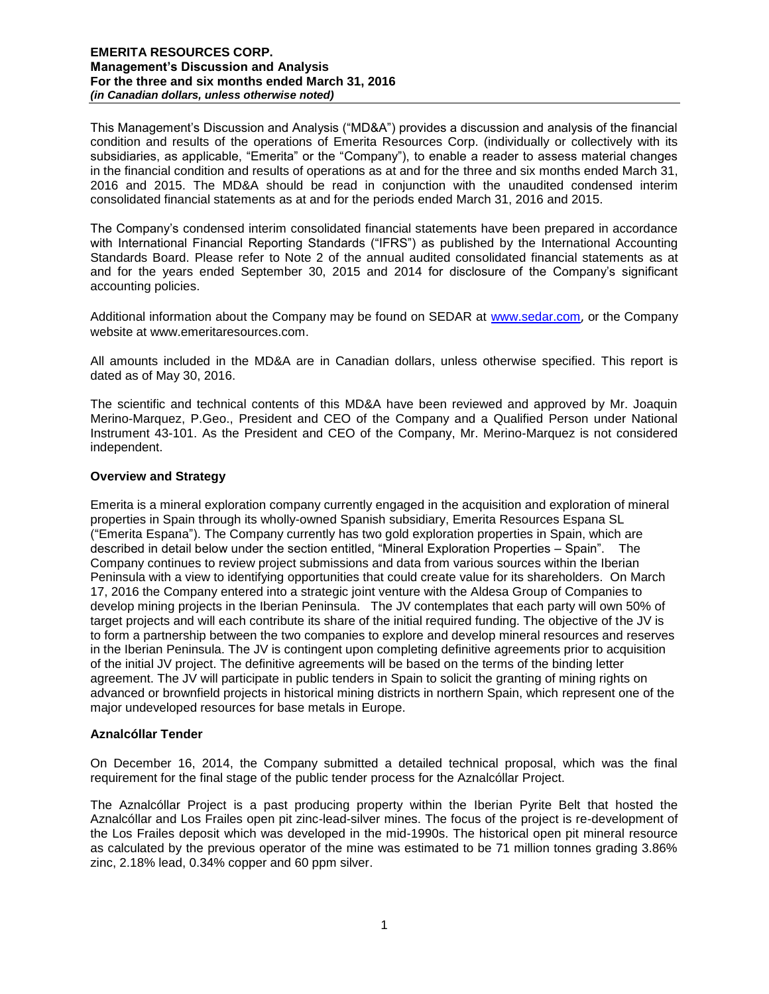This Management's Discussion and Analysis ("MD&A") provides a discussion and analysis of the financial condition and results of the operations of Emerita Resources Corp. (individually or collectively with its subsidiaries, as applicable, "Emerita" or the "Company"), to enable a reader to assess material changes in the financial condition and results of operations as at and for the three and six months ended March 31, 2016 and 2015. The MD&A should be read in conjunction with the unaudited condensed interim consolidated financial statements as at and for the periods ended March 31, 2016 and 2015.

The Company's condensed interim consolidated financial statements have been prepared in accordance with International Financial Reporting Standards ("IFRS") as published by the International Accounting Standards Board. Please refer to Note 2 of the annual audited consolidated financial statements as at and for the years ended September 30, 2015 and 2014 for disclosure of the Company's significant accounting policies.

Additional information about the Company may be found on SEDAR at [www.sedar.com](http://www.sedar.com/), or the Company website at www.emeritaresources.com.

All amounts included in the MD&A are in Canadian dollars, unless otherwise specified. This report is dated as of May 30, 2016.

The scientific and technical contents of this MD&A have been reviewed and approved by Mr. Joaquin Merino-Marquez, P.Geo., President and CEO of the Company and a Qualified Person under National Instrument 43-101. As the President and CEO of the Company, Mr. Merino-Marquez is not considered independent.

## **Overview and Strategy**

Emerita is a mineral exploration company currently engaged in the acquisition and exploration of mineral properties in Spain through its wholly-owned Spanish subsidiary, Emerita Resources Espana SL ("Emerita Espana"). The Company currently has two gold exploration properties in Spain, which are described in detail below under the section entitled, "Mineral Exploration Properties – Spain". The Company continues to review project submissions and data from various sources within the Iberian Peninsula with a view to identifying opportunities that could create value for its shareholders. On March 17, 2016 the Company entered into a strategic joint venture with the Aldesa Group of Companies to develop mining projects in the Iberian Peninsula. The JV contemplates that each party will own 50% of target projects and will each contribute its share of the initial required funding. The objective of the JV is to form a partnership between the two companies to explore and develop mineral resources and reserves in the Iberian Peninsula. The JV is contingent upon completing definitive agreements prior to acquisition of the initial JV project. The definitive agreements will be based on the terms of the binding letter agreement. The JV will participate in public tenders in Spain to solicit the granting of mining rights on advanced or brownfield projects in historical mining districts in northern Spain, which represent one of the major undeveloped resources for base metals in Europe.

#### **Aznalcóllar Tender**

On December 16, 2014, the Company submitted a detailed technical proposal, which was the final requirement for the final stage of the public tender process for the Aznalcóllar Project.

The Aznalcóllar Project is a past producing property within the Iberian Pyrite Belt that hosted the Aznalcóllar and Los Frailes open pit zinc-lead-silver mines. The focus of the project is re-development of the Los Frailes deposit which was developed in the mid-1990s. The historical open pit mineral resource as calculated by the previous operator of the mine was estimated to be 71 million tonnes grading 3.86% zinc, 2.18% lead, 0.34% copper and 60 ppm silver.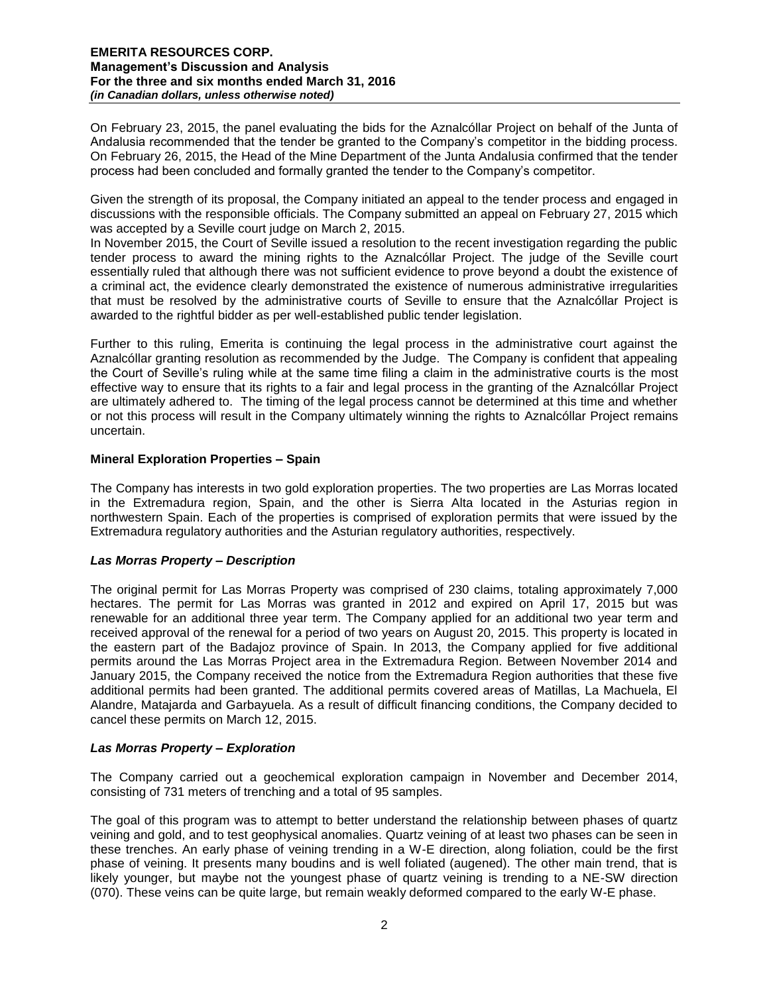On February 23, 2015, the panel evaluating the bids for the Aznalcóllar Project on behalf of the Junta of Andalusia recommended that the tender be granted to the Company's competitor in the bidding process. On February 26, 2015, the Head of the Mine Department of the Junta Andalusia confirmed that the tender process had been concluded and formally granted the tender to the Company's competitor.

Given the strength of its proposal, the Company initiated an appeal to the tender process and engaged in discussions with the responsible officials. The Company submitted an appeal on February 27, 2015 which was accepted by a Seville court judge on March 2, 2015.

In November 2015, the Court of Seville issued a resolution to the recent investigation regarding the public tender process to award the mining rights to the Aznalcóllar Project. The judge of the Seville court essentially ruled that although there was not sufficient evidence to prove beyond a doubt the existence of a criminal act, the evidence clearly demonstrated the existence of numerous administrative irregularities that must be resolved by the administrative courts of Seville to ensure that the Aznalcóllar Project is awarded to the rightful bidder as per well-established public tender legislation.

Further to this ruling, Emerita is continuing the legal process in the administrative court against the Aznalcóllar granting resolution as recommended by the Judge. The Company is confident that appealing the Court of Seville's ruling while at the same time filing a claim in the administrative courts is the most effective way to ensure that its rights to a fair and legal process in the granting of the Aznalcóllar Project are ultimately adhered to. The timing of the legal process cannot be determined at this time and whether or not this process will result in the Company ultimately winning the rights to Aznalcóllar Project remains uncertain.

# **Mineral Exploration Properties – Spain**

The Company has interests in two gold exploration properties. The two properties are Las Morras located in the Extremadura region, Spain, and the other is Sierra Alta located in the Asturias region in northwestern Spain. Each of the properties is comprised of exploration permits that were issued by the Extremadura regulatory authorities and the Asturian regulatory authorities, respectively.

## *Las Morras Property – Description*

The original permit for Las Morras Property was comprised of 230 claims, totaling approximately 7,000 hectares. The permit for Las Morras was granted in 2012 and expired on April 17, 2015 but was renewable for an additional three year term. The Company applied for an additional two year term and received approval of the renewal for a period of two years on August 20, 2015. This property is located in the eastern part of the Badajoz province of Spain. In 2013, the Company applied for five additional permits around the Las Morras Project area in the Extremadura Region. Between November 2014 and January 2015, the Company received the notice from the Extremadura Region authorities that these five additional permits had been granted. The additional permits covered areas of Matillas, La Machuela, El Alandre, Matajarda and Garbayuela. As a result of difficult financing conditions, the Company decided to cancel these permits on March 12, 2015.

## *Las Morras Property – Exploration*

The Company carried out a geochemical exploration campaign in November and December 2014, consisting of 731 meters of trenching and a total of 95 samples.

The goal of this program was to attempt to better understand the relationship between phases of quartz veining and gold, and to test geophysical anomalies. Quartz veining of at least two phases can be seen in these trenches. An early phase of veining trending in a W-E direction, along foliation, could be the first phase of veining. It presents many boudins and is well foliated (augened). The other main trend, that is likely younger, but maybe not the youngest phase of quartz veining is trending to a NE-SW direction (070). These veins can be quite large, but remain weakly deformed compared to the early W-E phase.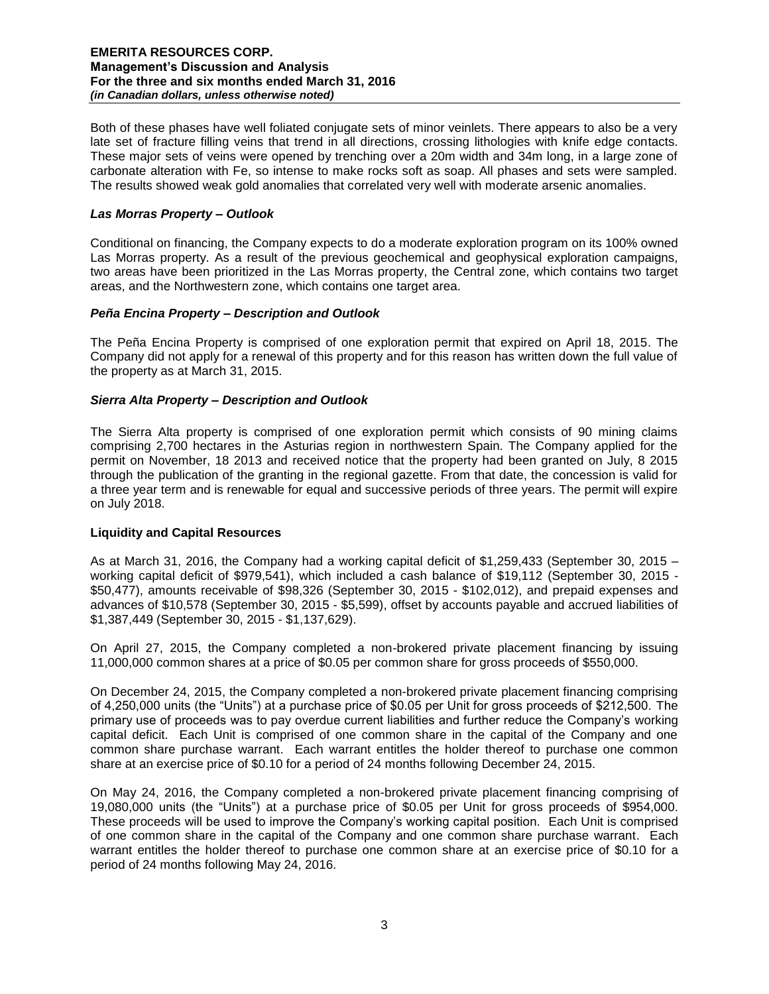Both of these phases have well foliated conjugate sets of minor veinlets. There appears to also be a very late set of fracture filling veins that trend in all directions, crossing lithologies with knife edge contacts. These major sets of veins were opened by trenching over a 20m width and 34m long, in a large zone of carbonate alteration with Fe, so intense to make rocks soft as soap. All phases and sets were sampled. The results showed weak gold anomalies that correlated very well with moderate arsenic anomalies.

# *Las Morras Property – Outlook*

Conditional on financing, the Company expects to do a moderate exploration program on its 100% owned Las Morras property. As a result of the previous geochemical and geophysical exploration campaigns, two areas have been prioritized in the Las Morras property, the Central zone, which contains two target areas, and the Northwestern zone, which contains one target area.

## *Peña Encina Property – Description and Outlook*

The Peña Encina Property is comprised of one exploration permit that expired on April 18, 2015. The Company did not apply for a renewal of this property and for this reason has written down the full value of the property as at March 31, 2015.

# *Sierra Alta Property – Description and Outlook*

The Sierra Alta property is comprised of one exploration permit which consists of 90 mining claims comprising 2,700 hectares in the Asturias region in northwestern Spain. The Company applied for the permit on November, 18 2013 and received notice that the property had been granted on July, 8 2015 through the publication of the granting in the regional gazette. From that date, the concession is valid for a three year term and is renewable for equal and successive periods of three years. The permit will expire on July 2018.

## **Liquidity and Capital Resources**

As at March 31, 2016, the Company had a working capital deficit of \$1,259,433 (September 30, 2015 – working capital deficit of \$979,541), which included a cash balance of \$19,112 (September 30, 2015 - \$50,477), amounts receivable of \$98,326 (September 30, 2015 - \$102,012), and prepaid expenses and advances of \$10,578 (September 30, 2015 - \$5,599), offset by accounts payable and accrued liabilities of \$1,387,449 (September 30, 2015 - \$1,137,629).

On April 27, 2015, the Company completed a non-brokered private placement financing by issuing 11,000,000 common shares at a price of \$0.05 per common share for gross proceeds of \$550,000.

On December 24, 2015, the Company completed a non-brokered private placement financing comprising of 4,250,000 units (the "Units") at a purchase price of \$0.05 per Unit for gross proceeds of \$212,500. The primary use of proceeds was to pay overdue current liabilities and further reduce the Company's working capital deficit. Each Unit is comprised of one common share in the capital of the Company and one common share purchase warrant. Each warrant entitles the holder thereof to purchase one common share at an exercise price of \$0.10 for a period of 24 months following December 24, 2015.

On May 24, 2016, the Company completed a non-brokered private placement financing comprising of 19,080,000 units (the "Units") at a purchase price of \$0.05 per Unit for gross proceeds of \$954,000. These proceeds will be used to improve the Company's working capital position. Each Unit is comprised of one common share in the capital of the Company and one common share purchase warrant. Each warrant entitles the holder thereof to purchase one common share at an exercise price of \$0.10 for a period of 24 months following May 24, 2016.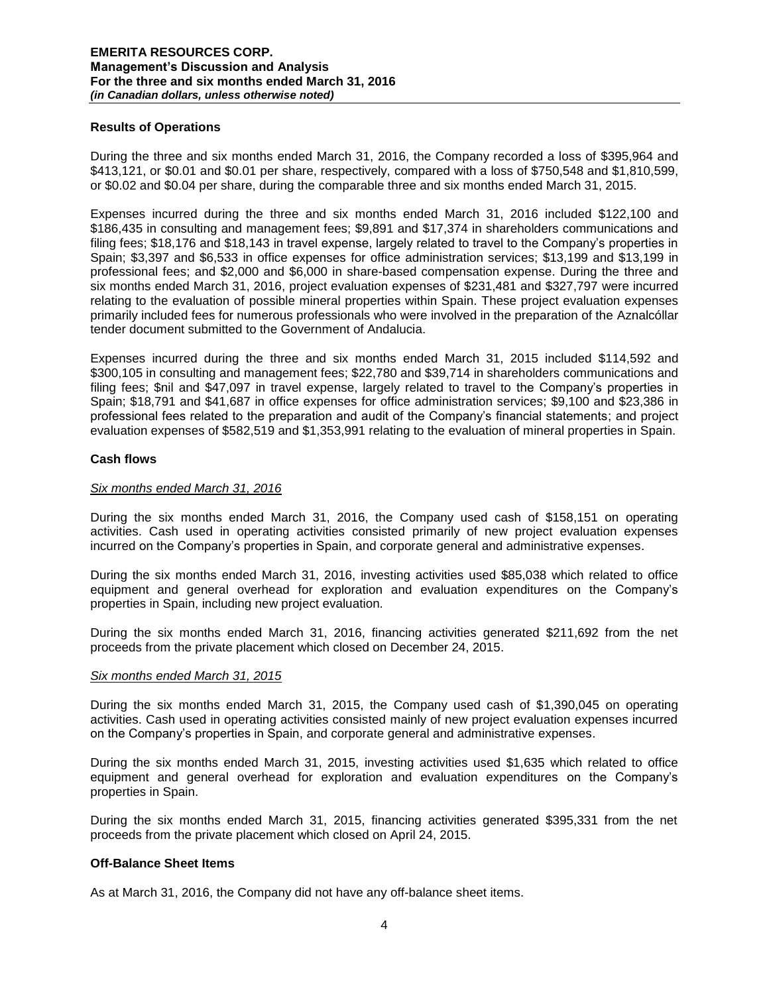### **Results of Operations**

During the three and six months ended March 31, 2016, the Company recorded a loss of \$395,964 and \$413,121, or \$0.01 and \$0.01 per share, respectively, compared with a loss of \$750,548 and \$1,810,599, or \$0.02 and \$0.04 per share, during the comparable three and six months ended March 31, 2015.

Expenses incurred during the three and six months ended March 31, 2016 included \$122,100 and \$186,435 in consulting and management fees; \$9,891 and \$17,374 in shareholders communications and filing fees; \$18,176 and \$18,143 in travel expense, largely related to travel to the Company's properties in Spain; \$3,397 and \$6,533 in office expenses for office administration services; \$13,199 and \$13,199 in professional fees; and \$2,000 and \$6,000 in share-based compensation expense. During the three and six months ended March 31, 2016, project evaluation expenses of \$231,481 and \$327,797 were incurred relating to the evaluation of possible mineral properties within Spain. These project evaluation expenses primarily included fees for numerous professionals who were involved in the preparation of the Aznalcóllar tender document submitted to the Government of Andalucia.

Expenses incurred during the three and six months ended March 31, 2015 included \$114,592 and \$300,105 in consulting and management fees; \$22,780 and \$39,714 in shareholders communications and filing fees; \$nil and \$47,097 in travel expense, largely related to travel to the Company's properties in Spain; \$18,791 and \$41,687 in office expenses for office administration services; \$9,100 and \$23,386 in professional fees related to the preparation and audit of the Company's financial statements; and project evaluation expenses of \$582,519 and \$1,353,991 relating to the evaluation of mineral properties in Spain.

#### **Cash flows**

#### *Six months ended March 31, 2016*

During the six months ended March 31, 2016, the Company used cash of \$158,151 on operating activities. Cash used in operating activities consisted primarily of new project evaluation expenses incurred on the Company's properties in Spain, and corporate general and administrative expenses.

During the six months ended March 31, 2016, investing activities used \$85,038 which related to office equipment and general overhead for exploration and evaluation expenditures on the Company's properties in Spain, including new project evaluation.

During the six months ended March 31, 2016, financing activities generated \$211,692 from the net proceeds from the private placement which closed on December 24, 2015.

#### *Six months ended March 31, 2015*

During the six months ended March 31, 2015, the Company used cash of \$1,390,045 on operating activities. Cash used in operating activities consisted mainly of new project evaluation expenses incurred on the Company's properties in Spain, and corporate general and administrative expenses.

During the six months ended March 31, 2015, investing activities used \$1,635 which related to office equipment and general overhead for exploration and evaluation expenditures on the Company's properties in Spain.

During the six months ended March 31, 2015, financing activities generated \$395,331 from the net proceeds from the private placement which closed on April 24, 2015.

#### **Off-Balance Sheet Items**

As at March 31, 2016, the Company did not have any off-balance sheet items.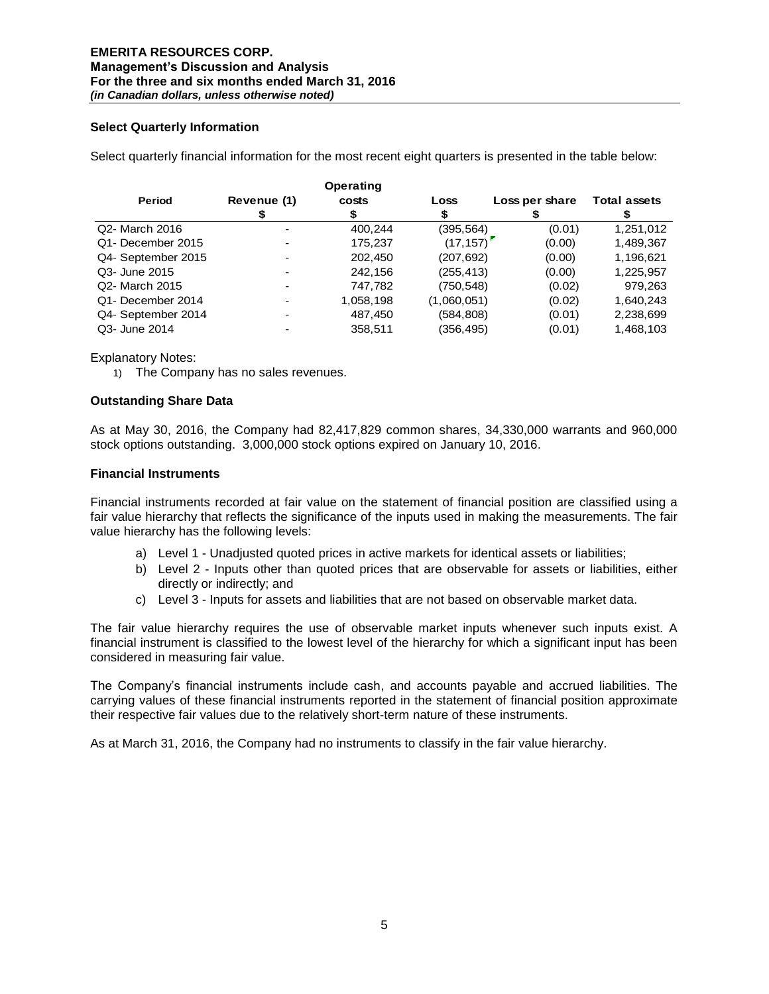## **Select Quarterly Information**

Select quarterly financial information for the most recent eight quarters is presented in the table below:

|                    | Operating   |           |             |                |                     |
|--------------------|-------------|-----------|-------------|----------------|---------------------|
| Period             | Revenue (1) | costs     | Loss        | Loss per share | <b>Total assets</b> |
|                    |             |           |             |                |                     |
| Q2- March 2016     |             | 400.244   | (395, 564)  | (0.01)         | 1,251,012           |
| Q1- December 2015  |             | 175,237   | (17, 157)   | (0.00)         | 1,489,367           |
| Q4- September 2015 |             | 202,450   | (207,692)   | (0.00)         | 1,196,621           |
| Q3- June 2015      |             | 242,156   | (255, 413)  | (0.00)         | 1,225,957           |
| Q2- March 2015     | -           | 747,782   | (750,548)   | (0.02)         | 979,263             |
| Q1- December 2014  | -           | 1,058,198 | (1,060,051) | (0.02)         | 1,640,243           |
| Q4- September 2014 |             | 487,450   | (584, 808)  | (0.01)         | 2,238,699           |
| Q3- June 2014      |             | 358,511   | (356,495)   | (0.01)         | 1,468,103           |

Explanatory Notes:

1) The Company has no sales revenues.

## **Outstanding Share Data**

As at May 30, 2016, the Company had 82,417,829 common shares, 34,330,000 warrants and 960,000 stock options outstanding. 3,000,000 stock options expired on January 10, 2016.

#### **Financial Instruments**

Financial instruments recorded at fair value on the statement of financial position are classified using a fair value hierarchy that reflects the significance of the inputs used in making the measurements. The fair value hierarchy has the following levels:

- a) Level 1 Unadjusted quoted prices in active markets for identical assets or liabilities;
- b) Level 2 Inputs other than quoted prices that are observable for assets or liabilities, either directly or indirectly; and
- c) Level 3 Inputs for assets and liabilities that are not based on observable market data.

The fair value hierarchy requires the use of observable market inputs whenever such inputs exist. A financial instrument is classified to the lowest level of the hierarchy for which a significant input has been considered in measuring fair value.

The Company's financial instruments include cash, and accounts payable and accrued liabilities. The carrying values of these financial instruments reported in the statement of financial position approximate their respective fair values due to the relatively short-term nature of these instruments.

As at March 31, 2016, the Company had no instruments to classify in the fair value hierarchy.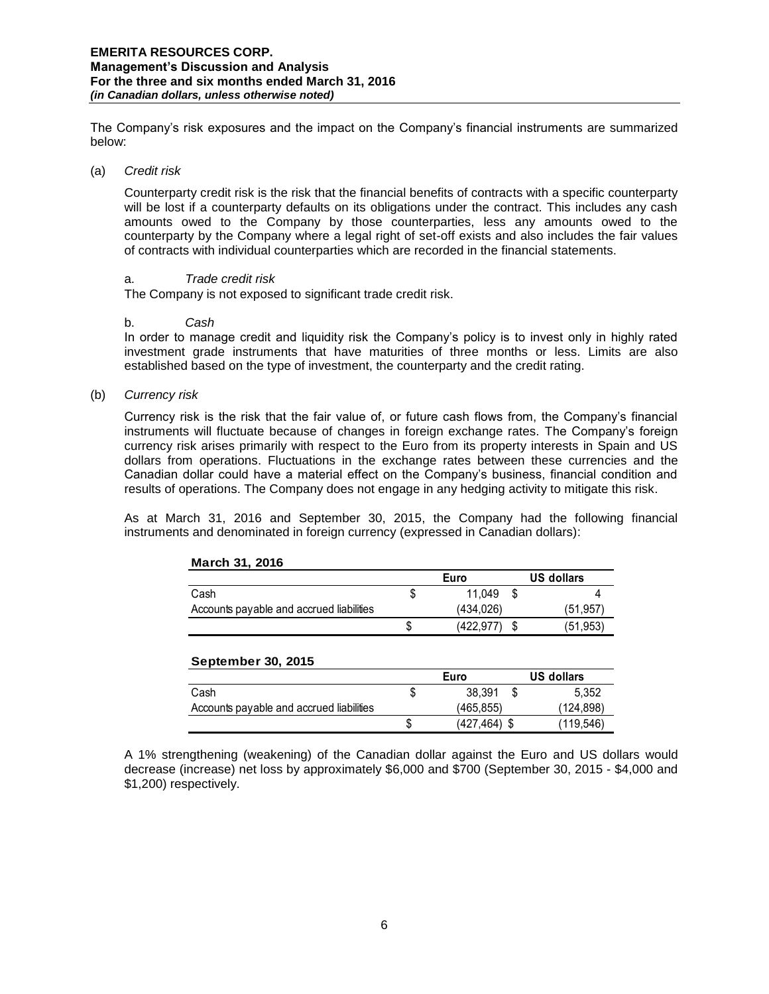The Company's risk exposures and the impact on the Company's financial instruments are summarized below:

#### (a) *Credit risk*

Counterparty credit risk is the risk that the financial benefits of contracts with a specific counterparty will be lost if a counterparty defaults on its obligations under the contract. This includes any cash amounts owed to the Company by those counterparties, less any amounts owed to the counterparty by the Company where a legal right of set-off exists and also includes the fair values of contracts with individual counterparties which are recorded in the financial statements.

### a. *Trade credit risk*

The Company is not exposed to significant trade credit risk.

#### b. *Cash*

In order to manage credit and liquidity risk the Company's policy is to invest only in highly rated investment grade instruments that have maturities of three months or less. Limits are also established based on the type of investment, the counterparty and the credit rating.

(b) *Currency risk* 

Currency risk is the risk that the fair value of, or future cash flows from, the Company's financial instruments will fluctuate because of changes in foreign exchange rates. The Company's foreign currency risk arises primarily with respect to the Euro from its property interests in Spain and US dollars from operations. Fluctuations in the exchange rates between these currencies and the Canadian dollar could have a material effect on the Company's business, financial condition and results of operations. The Company does not engage in any hedging activity to mitigate this risk.

As at March 31, 2016 and September 30, 2015, the Company had the following financial instruments and denominated in foreign currency (expressed in Canadian dollars):

|                                          | Euro |           | US dollars |           |
|------------------------------------------|------|-----------|------------|-----------|
| Cash                                     |      | 11.049    |            |           |
| Accounts payable and accrued liabilities |      | (434.026) |            | (51, 957) |
|                                          | S    | (422,977  |            | (51, 953) |

## **March 31, 2016**

| <b>September 30, 2015</b>                |   |              |  |            |
|------------------------------------------|---|--------------|--|------------|
|                                          |   | Euro         |  | US dollars |
| Cash                                     |   | 38.391       |  | 5.352      |
| Accounts payable and accrued liabilities |   | (465.855)    |  | (124, 898) |
|                                          | S | (427,464) \$ |  | (119, 546) |

A 1% strengthening (weakening) of the Canadian dollar against the Euro and US dollars would decrease (increase) net loss by approximately \$6,000 and \$700 (September 30, 2015 - \$4,000 and \$1,200) respectively.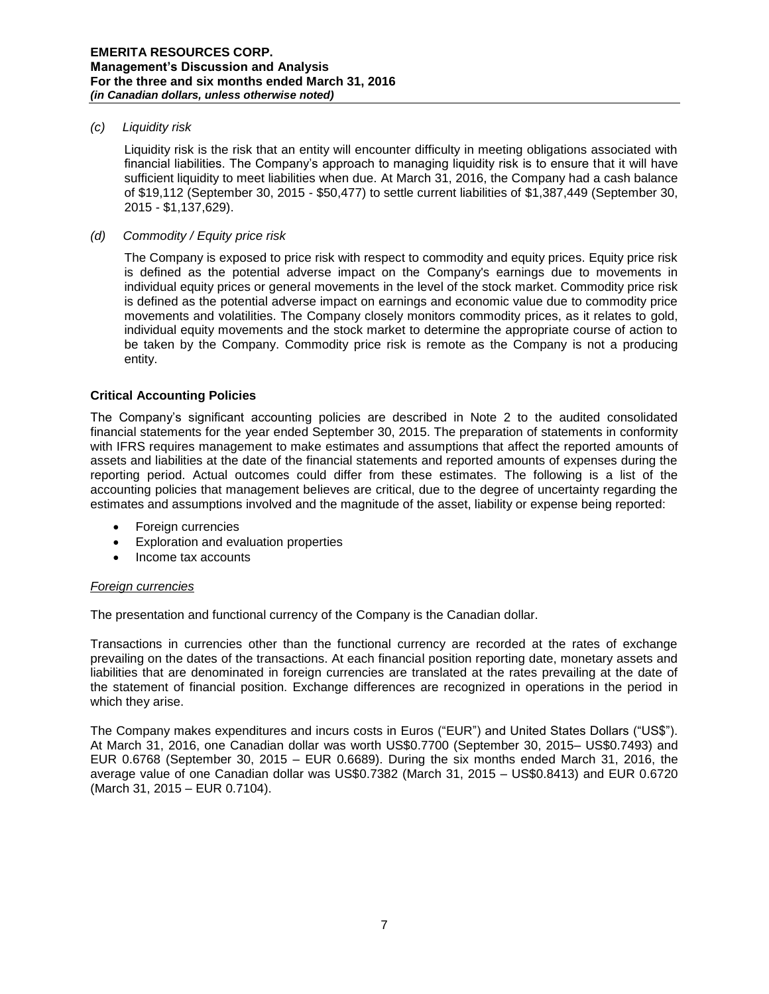### *(c) Liquidity risk*

Liquidity risk is the risk that an entity will encounter difficulty in meeting obligations associated with financial liabilities. The Company's approach to managing liquidity risk is to ensure that it will have sufficient liquidity to meet liabilities when due. At March 31, 2016, the Company had a cash balance of \$19,112 (September 30, 2015 - \$50,477) to settle current liabilities of \$1,387,449 (September 30, 2015 - \$1,137,629).

### *(d) Commodity / Equity price risk*

The Company is exposed to price risk with respect to commodity and equity prices. Equity price risk is defined as the potential adverse impact on the Company's earnings due to movements in individual equity prices or general movements in the level of the stock market. Commodity price risk is defined as the potential adverse impact on earnings and economic value due to commodity price movements and volatilities. The Company closely monitors commodity prices, as it relates to gold, individual equity movements and the stock market to determine the appropriate course of action to be taken by the Company. Commodity price risk is remote as the Company is not a producing entity.

#### **Critical Accounting Policies**

The Company's significant accounting policies are described in Note 2 to the audited consolidated financial statements for the year ended September 30, 2015. The preparation of statements in conformity with IFRS requires management to make estimates and assumptions that affect the reported amounts of assets and liabilities at the date of the financial statements and reported amounts of expenses during the reporting period. Actual outcomes could differ from these estimates. The following is a list of the accounting policies that management believes are critical, due to the degree of uncertainty regarding the estimates and assumptions involved and the magnitude of the asset, liability or expense being reported:

- Foreign currencies
- Exploration and evaluation properties
- Income tax accounts

## *Foreign currencies*

The presentation and functional currency of the Company is the Canadian dollar.

Transactions in currencies other than the functional currency are recorded at the rates of exchange prevailing on the dates of the transactions. At each financial position reporting date, monetary assets and liabilities that are denominated in foreign currencies are translated at the rates prevailing at the date of the statement of financial position. Exchange differences are recognized in operations in the period in which they arise.

The Company makes expenditures and incurs costs in Euros ("EUR") and United States Dollars ("US\$"). At March 31, 2016, one Canadian dollar was worth US\$0.7700 (September 30, 2015– US\$0.7493) and EUR 0.6768 (September 30, 2015 – EUR 0.6689). During the six months ended March 31, 2016, the average value of one Canadian dollar was US\$0.7382 (March 31, 2015 – US\$0.8413) and EUR 0.6720 (March 31, 2015 – EUR 0.7104).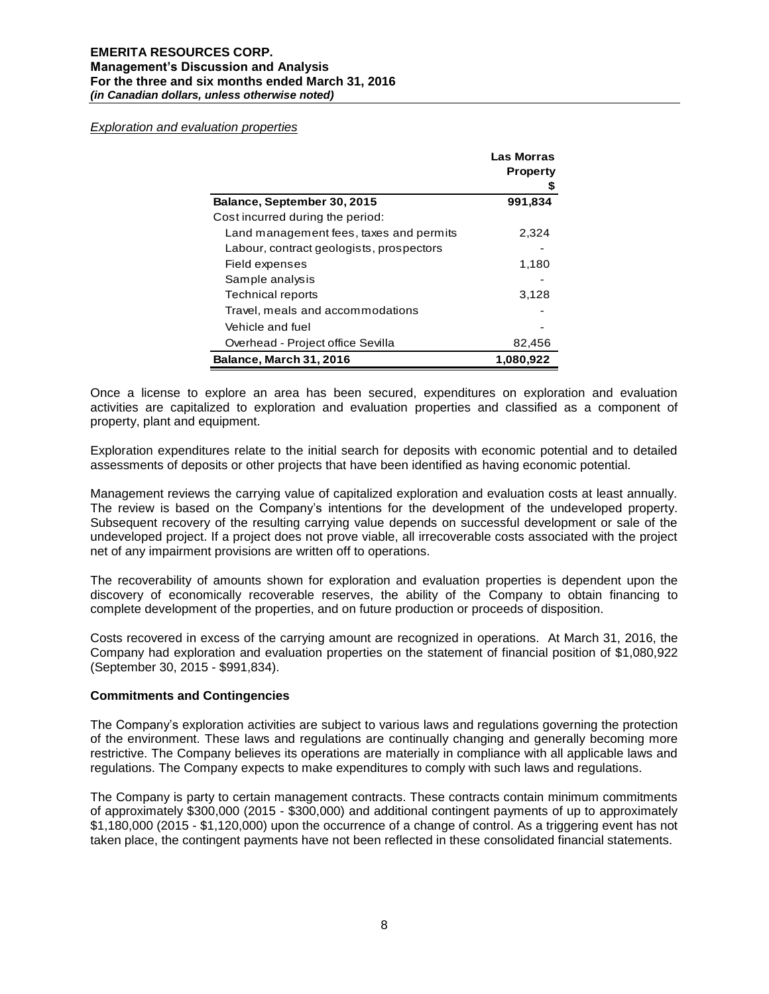*Exploration and evaluation properties*

|                                          | <b>Las Morras</b><br><b>Property</b> |
|------------------------------------------|--------------------------------------|
| Balance, September 30, 2015              | 991,834                              |
| Cost incurred during the period:         |                                      |
| Land management fees, taxes and permits  | 2,324                                |
| Labour, contract geologists, prospectors |                                      |
| Field expenses                           | 1,180                                |
| Sample analysis                          |                                      |
| Technical reports                        | 3,128                                |
| Travel, meals and accommodations         |                                      |
| Vehicle and fuel                         |                                      |
| Overhead - Project office Sevilla        | 82,456                               |
| <b>Balance, March 31, 2016</b>           | 1,080,922                            |

Once a license to explore an area has been secured, expenditures on exploration and evaluation activities are capitalized to exploration and evaluation properties and classified as a component of property, plant and equipment.

Exploration expenditures relate to the initial search for deposits with economic potential and to detailed assessments of deposits or other projects that have been identified as having economic potential.

Management reviews the carrying value of capitalized exploration and evaluation costs at least annually. The review is based on the Company's intentions for the development of the undeveloped property. Subsequent recovery of the resulting carrying value depends on successful development or sale of the undeveloped project. If a project does not prove viable, all irrecoverable costs associated with the project net of any impairment provisions are written off to operations.

The recoverability of amounts shown for exploration and evaluation properties is dependent upon the discovery of economically recoverable reserves, the ability of the Company to obtain financing to complete development of the properties, and on future production or proceeds of disposition.

Costs recovered in excess of the carrying amount are recognized in operations. At March 31, 2016, the Company had exploration and evaluation properties on the statement of financial position of \$1,080,922 (September 30, 2015 - \$991,834).

#### **Commitments and Contingencies**

The Company's exploration activities are subject to various laws and regulations governing the protection of the environment. These laws and regulations are continually changing and generally becoming more restrictive. The Company believes its operations are materially in compliance with all applicable laws and regulations. The Company expects to make expenditures to comply with such laws and regulations.

The Company is party to certain management contracts. These contracts contain minimum commitments of approximately \$300,000 (2015 - \$300,000) and additional contingent payments of up to approximately \$1,180,000 (2015 - \$1,120,000) upon the occurrence of a change of control. As a triggering event has not taken place, the contingent payments have not been reflected in these consolidated financial statements.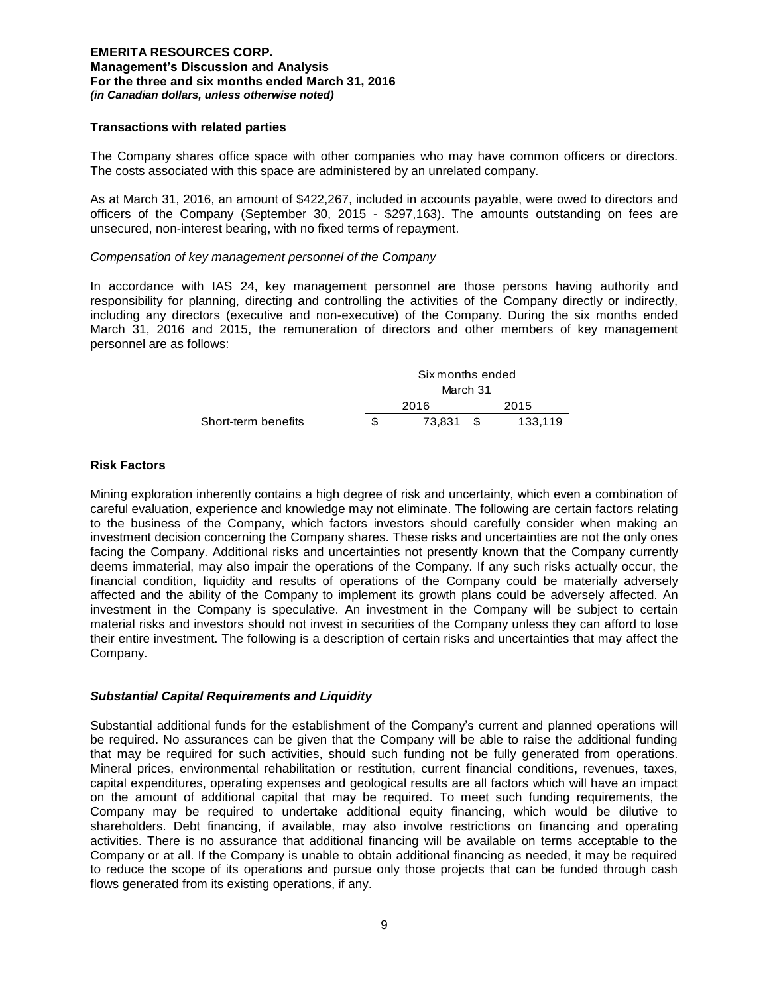### **Transactions with related parties**

The Company shares office space with other companies who may have common officers or directors. The costs associated with this space are administered by an unrelated company.

As at March 31, 2016, an amount of \$422,267, included in accounts payable, were owed to directors and officers of the Company (September 30, 2015 - \$297,163). The amounts outstanding on fees are unsecured, non-interest bearing, with no fixed terms of repayment.

#### *Compensation of key management personnel of the Company*

In accordance with IAS 24, key management personnel are those persons having authority and responsibility for planning, directing and controlling the activities of the Company directly or indirectly, including any directors (executive and non-executive) of the Company. During the six months ended March 31, 2016 and 2015, the remuneration of directors and other members of key management personnel are as follows:

|                     |     | Six months ended<br>March 31 |      |         |
|---------------------|-----|------------------------------|------|---------|
|                     |     |                              |      |         |
|                     |     | 2016                         | 2015 |         |
| Short-term benefits | \$. | 73.831                       | . ፕ  | 133.119 |

## **Risk Factors**

Mining exploration inherently contains a high degree of risk and uncertainty, which even a combination of careful evaluation, experience and knowledge may not eliminate. The following are certain factors relating to the business of the Company, which factors investors should carefully consider when making an investment decision concerning the Company shares. These risks and uncertainties are not the only ones facing the Company. Additional risks and uncertainties not presently known that the Company currently deems immaterial, may also impair the operations of the Company. If any such risks actually occur, the financial condition, liquidity and results of operations of the Company could be materially adversely affected and the ability of the Company to implement its growth plans could be adversely affected. An investment in the Company is speculative. An investment in the Company will be subject to certain material risks and investors should not invest in securities of the Company unless they can afford to lose their entire investment. The following is a description of certain risks and uncertainties that may affect the Company.

## *Substantial Capital Requirements and Liquidity*

Substantial additional funds for the establishment of the Company's current and planned operations will be required. No assurances can be given that the Company will be able to raise the additional funding that may be required for such activities, should such funding not be fully generated from operations. Mineral prices, environmental rehabilitation or restitution, current financial conditions, revenues, taxes, capital expenditures, operating expenses and geological results are all factors which will have an impact on the amount of additional capital that may be required. To meet such funding requirements, the Company may be required to undertake additional equity financing, which would be dilutive to shareholders. Debt financing, if available, may also involve restrictions on financing and operating activities. There is no assurance that additional financing will be available on terms acceptable to the Company or at all. If the Company is unable to obtain additional financing as needed, it may be required to reduce the scope of its operations and pursue only those projects that can be funded through cash flows generated from its existing operations, if any.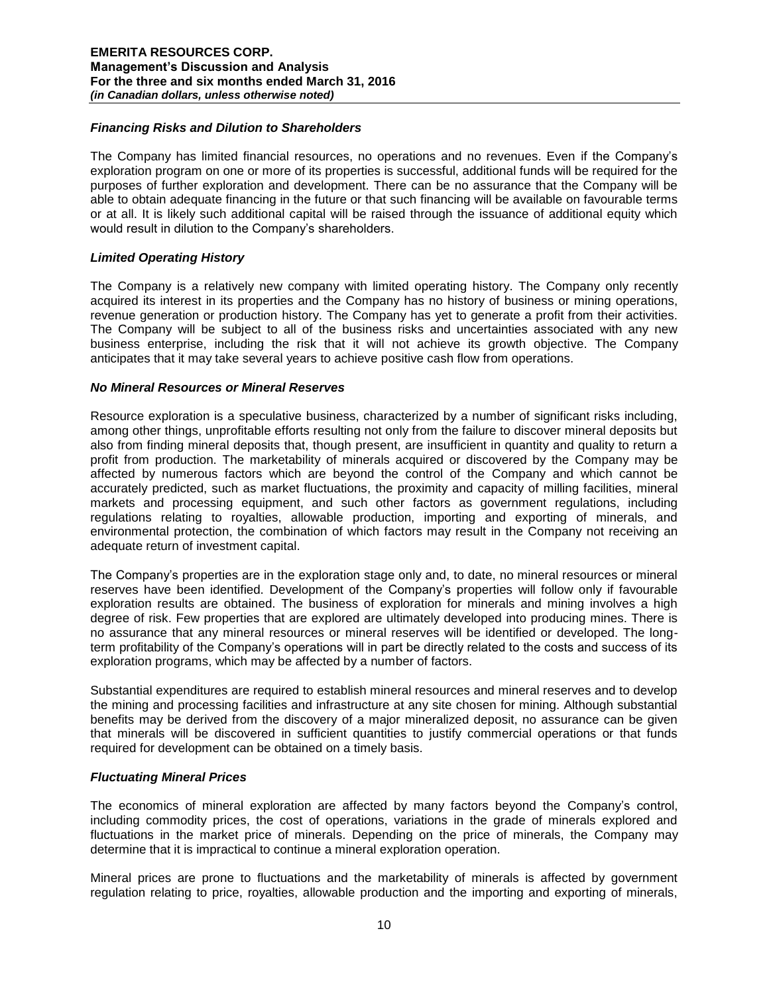### *Financing Risks and Dilution to Shareholders*

The Company has limited financial resources, no operations and no revenues. Even if the Company's exploration program on one or more of its properties is successful, additional funds will be required for the purposes of further exploration and development. There can be no assurance that the Company will be able to obtain adequate financing in the future or that such financing will be available on favourable terms or at all. It is likely such additional capital will be raised through the issuance of additional equity which would result in dilution to the Company's shareholders.

#### *Limited Operating History*

The Company is a relatively new company with limited operating history. The Company only recently acquired its interest in its properties and the Company has no history of business or mining operations, revenue generation or production history. The Company has yet to generate a profit from their activities. The Company will be subject to all of the business risks and uncertainties associated with any new business enterprise, including the risk that it will not achieve its growth objective. The Company anticipates that it may take several years to achieve positive cash flow from operations.

#### *No Mineral Resources or Mineral Reserves*

Resource exploration is a speculative business, characterized by a number of significant risks including, among other things, unprofitable efforts resulting not only from the failure to discover mineral deposits but also from finding mineral deposits that, though present, are insufficient in quantity and quality to return a profit from production. The marketability of minerals acquired or discovered by the Company may be affected by numerous factors which are beyond the control of the Company and which cannot be accurately predicted, such as market fluctuations, the proximity and capacity of milling facilities, mineral markets and processing equipment, and such other factors as government regulations, including regulations relating to royalties, allowable production, importing and exporting of minerals, and environmental protection, the combination of which factors may result in the Company not receiving an adequate return of investment capital.

The Company's properties are in the exploration stage only and, to date, no mineral resources or mineral reserves have been identified. Development of the Company's properties will follow only if favourable exploration results are obtained. The business of exploration for minerals and mining involves a high degree of risk. Few properties that are explored are ultimately developed into producing mines. There is no assurance that any mineral resources or mineral reserves will be identified or developed. The longterm profitability of the Company's operations will in part be directly related to the costs and success of its exploration programs, which may be affected by a number of factors.

Substantial expenditures are required to establish mineral resources and mineral reserves and to develop the mining and processing facilities and infrastructure at any site chosen for mining. Although substantial benefits may be derived from the discovery of a major mineralized deposit, no assurance can be given that minerals will be discovered in sufficient quantities to justify commercial operations or that funds required for development can be obtained on a timely basis.

## *Fluctuating Mineral Prices*

The economics of mineral exploration are affected by many factors beyond the Company's control, including commodity prices, the cost of operations, variations in the grade of minerals explored and fluctuations in the market price of minerals. Depending on the price of minerals, the Company may determine that it is impractical to continue a mineral exploration operation.

Mineral prices are prone to fluctuations and the marketability of minerals is affected by government regulation relating to price, royalties, allowable production and the importing and exporting of minerals,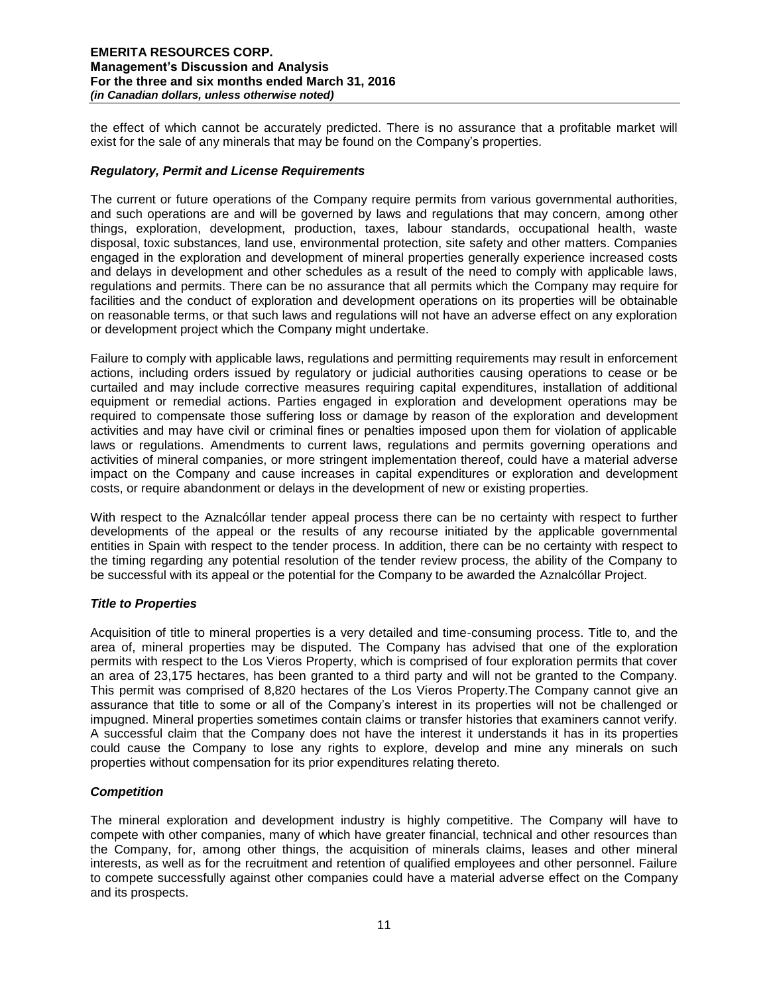the effect of which cannot be accurately predicted. There is no assurance that a profitable market will exist for the sale of any minerals that may be found on the Company's properties.

## *Regulatory, Permit and License Requirements*

The current or future operations of the Company require permits from various governmental authorities, and such operations are and will be governed by laws and regulations that may concern, among other things, exploration, development, production, taxes, labour standards, occupational health, waste disposal, toxic substances, land use, environmental protection, site safety and other matters. Companies engaged in the exploration and development of mineral properties generally experience increased costs and delays in development and other schedules as a result of the need to comply with applicable laws, regulations and permits. There can be no assurance that all permits which the Company may require for facilities and the conduct of exploration and development operations on its properties will be obtainable on reasonable terms, or that such laws and regulations will not have an adverse effect on any exploration or development project which the Company might undertake.

Failure to comply with applicable laws, regulations and permitting requirements may result in enforcement actions, including orders issued by regulatory or judicial authorities causing operations to cease or be curtailed and may include corrective measures requiring capital expenditures, installation of additional equipment or remedial actions. Parties engaged in exploration and development operations may be required to compensate those suffering loss or damage by reason of the exploration and development activities and may have civil or criminal fines or penalties imposed upon them for violation of applicable laws or regulations. Amendments to current laws, regulations and permits governing operations and activities of mineral companies, or more stringent implementation thereof, could have a material adverse impact on the Company and cause increases in capital expenditures or exploration and development costs, or require abandonment or delays in the development of new or existing properties.

With respect to the Aznalcóllar tender appeal process there can be no certainty with respect to further developments of the appeal or the results of any recourse initiated by the applicable governmental entities in Spain with respect to the tender process. In addition, there can be no certainty with respect to the timing regarding any potential resolution of the tender review process, the ability of the Company to be successful with its appeal or the potential for the Company to be awarded the Aznalcóllar Project.

## *Title to Properties*

Acquisition of title to mineral properties is a very detailed and time-consuming process. Title to, and the area of, mineral properties may be disputed. The Company has advised that one of the exploration permits with respect to the Los Vieros Property, which is comprised of four exploration permits that cover an area of 23,175 hectares, has been granted to a third party and will not be granted to the Company. This permit was comprised of 8,820 hectares of the Los Vieros Property.The Company cannot give an assurance that title to some or all of the Company's interest in its properties will not be challenged or impugned. Mineral properties sometimes contain claims or transfer histories that examiners cannot verify. A successful claim that the Company does not have the interest it understands it has in its properties could cause the Company to lose any rights to explore, develop and mine any minerals on such properties without compensation for its prior expenditures relating thereto.

## *Competition*

The mineral exploration and development industry is highly competitive. The Company will have to compete with other companies, many of which have greater financial, technical and other resources than the Company, for, among other things, the acquisition of minerals claims, leases and other mineral interests, as well as for the recruitment and retention of qualified employees and other personnel. Failure to compete successfully against other companies could have a material adverse effect on the Company and its prospects.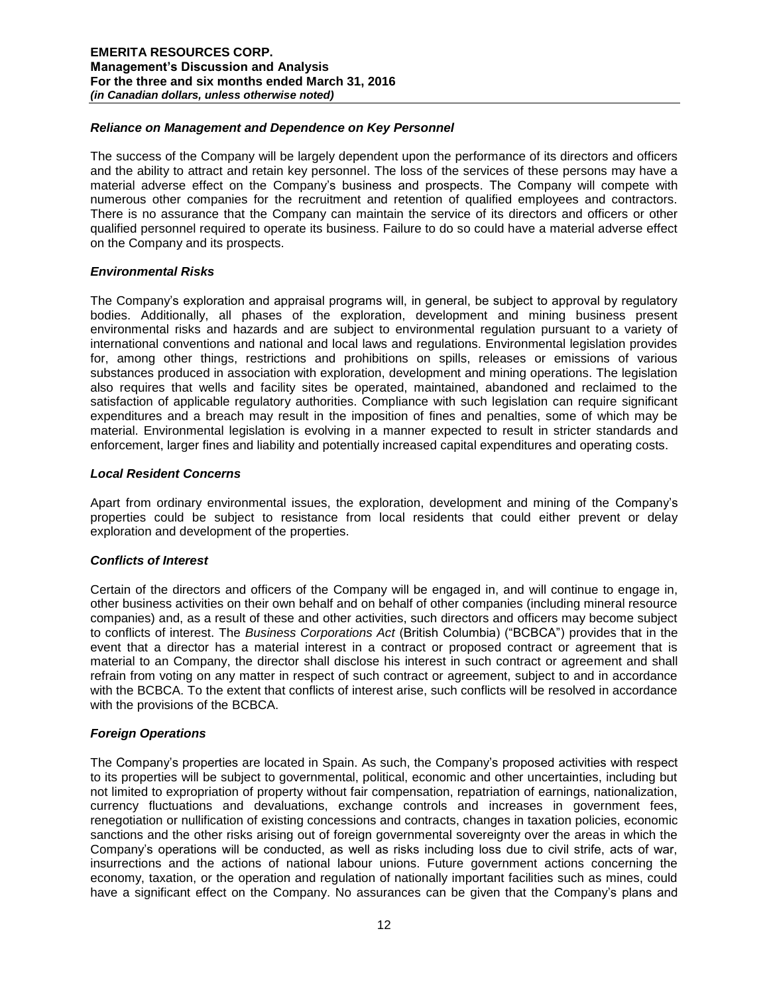## *Reliance on Management and Dependence on Key Personnel*

The success of the Company will be largely dependent upon the performance of its directors and officers and the ability to attract and retain key personnel. The loss of the services of these persons may have a material adverse effect on the Company's business and prospects. The Company will compete with numerous other companies for the recruitment and retention of qualified employees and contractors. There is no assurance that the Company can maintain the service of its directors and officers or other qualified personnel required to operate its business. Failure to do so could have a material adverse effect on the Company and its prospects.

## *Environmental Risks*

The Company's exploration and appraisal programs will, in general, be subject to approval by regulatory bodies. Additionally, all phases of the exploration, development and mining business present environmental risks and hazards and are subject to environmental regulation pursuant to a variety of international conventions and national and local laws and regulations. Environmental legislation provides for, among other things, restrictions and prohibitions on spills, releases or emissions of various substances produced in association with exploration, development and mining operations. The legislation also requires that wells and facility sites be operated, maintained, abandoned and reclaimed to the satisfaction of applicable regulatory authorities. Compliance with such legislation can require significant expenditures and a breach may result in the imposition of fines and penalties, some of which may be material. Environmental legislation is evolving in a manner expected to result in stricter standards and enforcement, larger fines and liability and potentially increased capital expenditures and operating costs.

#### *Local Resident Concerns*

Apart from ordinary environmental issues, the exploration, development and mining of the Company's properties could be subject to resistance from local residents that could either prevent or delay exploration and development of the properties.

## *Conflicts of Interest*

Certain of the directors and officers of the Company will be engaged in, and will continue to engage in, other business activities on their own behalf and on behalf of other companies (including mineral resource companies) and, as a result of these and other activities, such directors and officers may become subject to conflicts of interest. The *Business Corporations Act* (British Columbia) ("BCBCA") provides that in the event that a director has a material interest in a contract or proposed contract or agreement that is material to an Company, the director shall disclose his interest in such contract or agreement and shall refrain from voting on any matter in respect of such contract or agreement, subject to and in accordance with the BCBCA. To the extent that conflicts of interest arise, such conflicts will be resolved in accordance with the provisions of the BCBCA.

## *Foreign Operations*

The Company's properties are located in Spain. As such, the Company's proposed activities with respect to its properties will be subject to governmental, political, economic and other uncertainties, including but not limited to expropriation of property without fair compensation, repatriation of earnings, nationalization, currency fluctuations and devaluations, exchange controls and increases in government fees, renegotiation or nullification of existing concessions and contracts, changes in taxation policies, economic sanctions and the other risks arising out of foreign governmental sovereignty over the areas in which the Company's operations will be conducted, as well as risks including loss due to civil strife, acts of war, insurrections and the actions of national labour unions. Future government actions concerning the economy, taxation, or the operation and regulation of nationally important facilities such as mines, could have a significant effect on the Company. No assurances can be given that the Company's plans and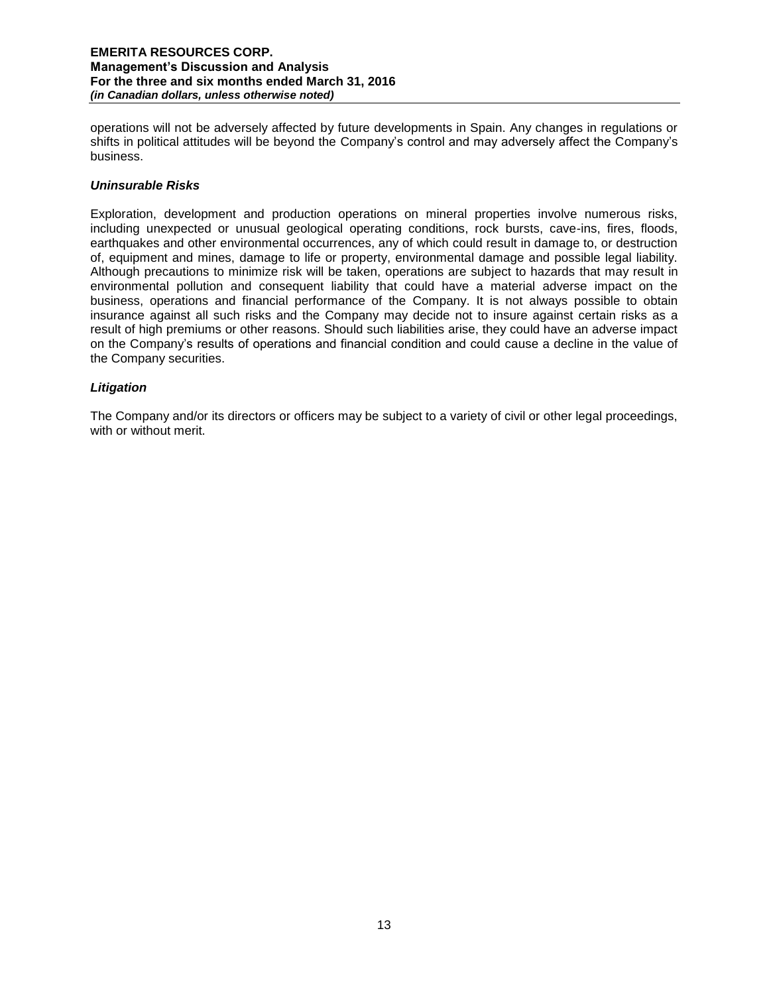operations will not be adversely affected by future developments in Spain. Any changes in regulations or shifts in political attitudes will be beyond the Company's control and may adversely affect the Company's business.

## *Uninsurable Risks*

Exploration, development and production operations on mineral properties involve numerous risks, including unexpected or unusual geological operating conditions, rock bursts, cave-ins, fires, floods, earthquakes and other environmental occurrences, any of which could result in damage to, or destruction of, equipment and mines, damage to life or property, environmental damage and possible legal liability. Although precautions to minimize risk will be taken, operations are subject to hazards that may result in environmental pollution and consequent liability that could have a material adverse impact on the business, operations and financial performance of the Company. It is not always possible to obtain insurance against all such risks and the Company may decide not to insure against certain risks as a result of high premiums or other reasons. Should such liabilities arise, they could have an adverse impact on the Company's results of operations and financial condition and could cause a decline in the value of the Company securities.

## *Litigation*

The Company and/or its directors or officers may be subject to a variety of civil or other legal proceedings, with or without merit.